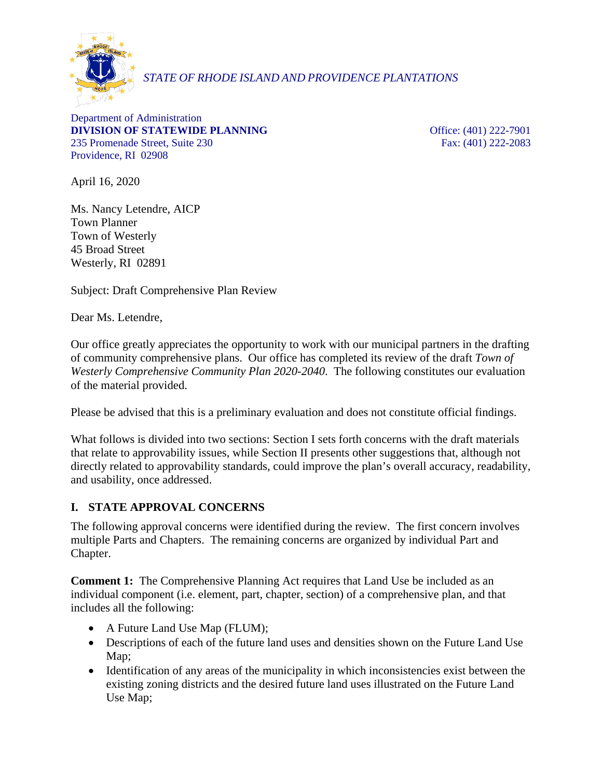

# *STATE OF RHODE ISLAND AND PROVIDENCE PLANTATIONS*

Department of Administration **DIVISION OF STATEWIDE PLANNING Office:** (401) 222-7901 235 Promenade Street, Suite 230 Fax: (401) 222-2083 Providence, RI 02908

April 16, 2020

Ms. Nancy Letendre, AICP Town Planner Town of Westerly 45 Broad Street Westerly, RI 02891

Subject: Draft Comprehensive Plan Review

Dear Ms. Letendre,

Our office greatly appreciates the opportunity to work with our municipal partners in the drafting of community comprehensive plans. Our office has completed its review of the draft *Town of Westerly Comprehensive Community Plan 2020-2040*. The following constitutes our evaluation of the material provided.

Please be advised that this is a preliminary evaluation and does not constitute official findings.

What follows is divided into two sections: Section I sets forth concerns with the draft materials that relate to approvability issues, while Section II presents other suggestions that, although not directly related to approvability standards, could improve the plan's overall accuracy, readability, and usability, once addressed.

## **I. STATE APPROVAL CONCERNS**

The following approval concerns were identified during the review. The first concern involves multiple Parts and Chapters. The remaining concerns are organized by individual Part and Chapter.

**Comment 1:** The Comprehensive Planning Act requires that Land Use be included as an individual component (i.e. element, part, chapter, section) of a comprehensive plan, and that includes all the following:

- A Future Land Use Map (FLUM);
- Descriptions of each of the future land uses and densities shown on the Future Land Use Map;
- Identification of any areas of the municipality in which inconsistencies exist between the existing zoning districts and the desired future land uses illustrated on the Future Land Use Map;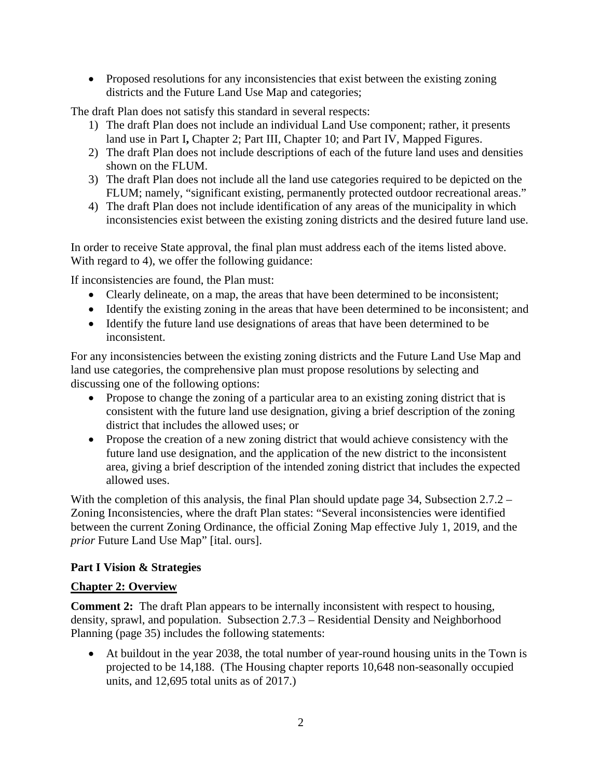• Proposed resolutions for any inconsistencies that exist between the existing zoning districts and the Future Land Use Map and categories;

The draft Plan does not satisfy this standard in several respects:

- 1) The draft Plan does not include an individual Land Use component; rather, it presents land use in Part I, Chapter 2; Part III, Chapter 10; and Part IV, Mapped Figures.
- 2) The draft Plan does not include descriptions of each of the future land uses and densities shown on the FLUM.
- 3) The draft Plan does not include all the land use categories required to be depicted on the FLUM; namely, "significant existing, permanently protected outdoor recreational areas."
- 4) The draft Plan does not include identification of any areas of the municipality in which inconsistencies exist between the existing zoning districts and the desired future land use.

In order to receive State approval, the final plan must address each of the items listed above. With regard to 4), we offer the following guidance:

If inconsistencies are found, the Plan must:

- Clearly delineate, on a map, the areas that have been determined to be inconsistent;
- Identify the existing zoning in the areas that have been determined to be inconsistent; and
- Identify the future land use designations of areas that have been determined to be inconsistent.

For any inconsistencies between the existing zoning districts and the Future Land Use Map and land use categories, the comprehensive plan must propose resolutions by selecting and discussing one of the following options:

- Propose to change the zoning of a particular area to an existing zoning district that is consistent with the future land use designation, giving a brief description of the zoning district that includes the allowed uses; or
- Propose the creation of a new zoning district that would achieve consistency with the future land use designation, and the application of the new district to the inconsistent area, giving a brief description of the intended zoning district that includes the expected allowed uses.

With the completion of this analysis, the final Plan should update page 34, Subsection 2.7.2 – Zoning Inconsistencies, where the draft Plan states: "Several inconsistencies were identified between the current Zoning Ordinance, the official Zoning Map effective July 1, 2019, and the *prior* Future Land Use Map" [ital. ours].

## **Part I Vision & Strategies**

## **Chapter 2: Overview**

**Comment 2:** The draft Plan appears to be internally inconsistent with respect to housing, density, sprawl, and population. Subsection 2.7.3 – Residential Density and Neighborhood Planning (page 35) includes the following statements:

• At buildout in the year 2038, the total number of year-round housing units in the Town is projected to be 14,188. (The Housing chapter reports 10,648 non-seasonally occupied units, and 12,695 total units as of 2017.)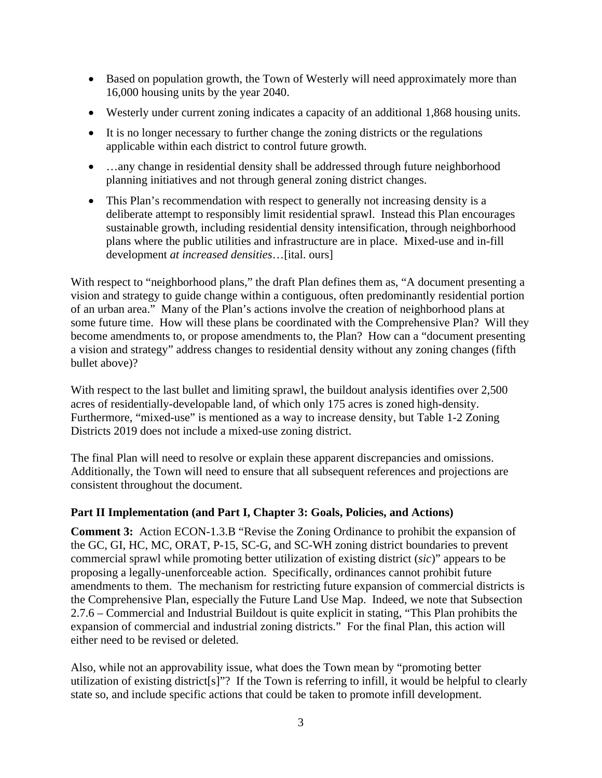- Based on population growth, the Town of Westerly will need approximately more than 16,000 housing units by the year 2040.
- Westerly under current zoning indicates a capacity of an additional 1,868 housing units.
- It is no longer necessary to further change the zoning districts or the regulations applicable within each district to control future growth.
- ...any change in residential density shall be addressed through future neighborhood planning initiatives and not through general zoning district changes.
- This Plan's recommendation with respect to generally not increasing density is a deliberate attempt to responsibly limit residential sprawl. Instead this Plan encourages sustainable growth, including residential density intensification, through neighborhood plans where the public utilities and infrastructure are in place. Mixed-use and in-fill development *at increased densities*…[ital. ours]

With respect to "neighborhood plans," the draft Plan defines them as, "A document presenting a vision and strategy to guide change within a contiguous, often predominantly residential portion of an urban area." Many of the Plan's actions involve the creation of neighborhood plans at some future time. How will these plans be coordinated with the Comprehensive Plan? Will they become amendments to, or propose amendments to, the Plan? How can a "document presenting a vision and strategy" address changes to residential density without any zoning changes (fifth bullet above)?

With respect to the last bullet and limiting sprawl, the buildout analysis identifies over 2,500 acres of residentially-developable land, of which only 175 acres is zoned high-density. Furthermore, "mixed-use" is mentioned as a way to increase density, but Table 1-2 Zoning Districts 2019 does not include a mixed-use zoning district.

The final Plan will need to resolve or explain these apparent discrepancies and omissions. Additionally, the Town will need to ensure that all subsequent references and projections are consistent throughout the document.

## **Part II Implementation (and Part I, Chapter 3: Goals, Policies, and Actions)**

**Comment 3:** Action ECON-1.3.B "Revise the Zoning Ordinance to prohibit the expansion of the GC, GI, HC, MC, ORAT, P-15, SC-G, and SC-WH zoning district boundaries to prevent commercial sprawl while promoting better utilization of existing district (*sic*)" appears to be proposing a legally-unenforceable action. Specifically, ordinances cannot prohibit future amendments to them. The mechanism for restricting future expansion of commercial districts is the Comprehensive Plan, especially the Future Land Use Map. Indeed, we note that Subsection 2.7.6 – Commercial and Industrial Buildout is quite explicit in stating, "This Plan prohibits the expansion of commercial and industrial zoning districts." For the final Plan, this action will either need to be revised or deleted.

Also, while not an approvability issue, what does the Town mean by "promoting better utilization of existing district[s]"? If the Town is referring to infill, it would be helpful to clearly state so, and include specific actions that could be taken to promote infill development.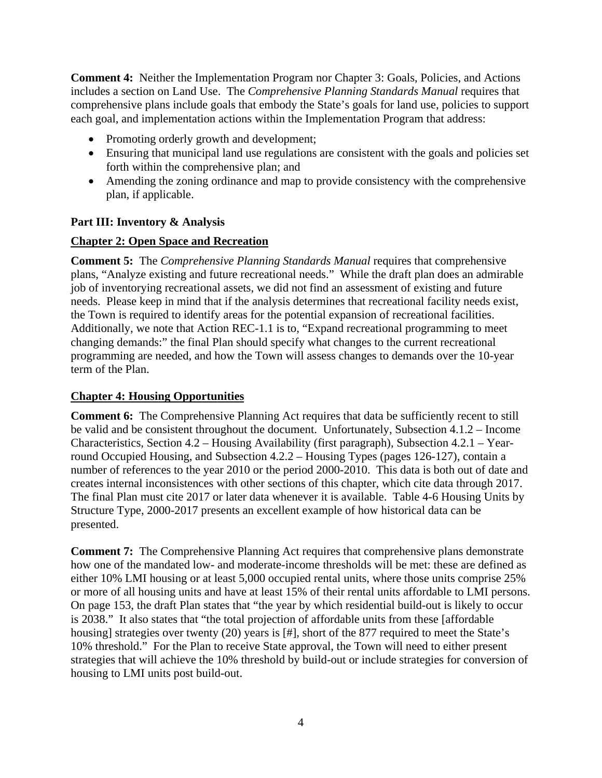**Comment 4:** Neither the Implementation Program nor Chapter 3: Goals, Policies, and Actions includes a section on Land Use. The *Comprehensive Planning Standards Manual* requires that comprehensive plans include goals that embody the State's goals for land use, policies to support each goal, and implementation actions within the Implementation Program that address:

- Promoting orderly growth and development;
- Ensuring that municipal land use regulations are consistent with the goals and policies set forth within the comprehensive plan; and
- Amending the zoning ordinance and map to provide consistency with the comprehensive plan, if applicable.

## **Part III: Inventory & Analysis**

## **Chapter 2: Open Space and Recreation**

**Comment 5:** The *Comprehensive Planning Standards Manual* requires that comprehensive plans, "Analyze existing and future recreational needs." While the draft plan does an admirable job of inventorying recreational assets, we did not find an assessment of existing and future needs. Please keep in mind that if the analysis determines that recreational facility needs exist, the Town is required to identify areas for the potential expansion of recreational facilities. Additionally, we note that Action REC-1.1 is to, "Expand recreational programming to meet changing demands:" the final Plan should specify what changes to the current recreational programming are needed, and how the Town will assess changes to demands over the 10-year term of the Plan.

## **Chapter 4: Housing Opportunities**

**Comment 6:** The Comprehensive Planning Act requires that data be sufficiently recent to still be valid and be consistent throughout the document. Unfortunately, Subsection 4.1.2 – Income Characteristics, Section 4.2 – Housing Availability (first paragraph), Subsection 4.2.1 – Yearround Occupied Housing, and Subsection 4.2.2 – Housing Types (pages 126-127), contain a number of references to the year 2010 or the period 2000-2010. This data is both out of date and creates internal inconsistences with other sections of this chapter, which cite data through 2017. The final Plan must cite 2017 or later data whenever it is available. Table 4-6 Housing Units by Structure Type, 2000-2017 presents an excellent example of how historical data can be presented.

**Comment 7:** The Comprehensive Planning Act requires that comprehensive plans demonstrate how one of the mandated low- and moderate-income thresholds will be met: these are defined as either 10% LMI housing or at least 5,000 occupied rental units, where those units comprise 25% or more of all housing units and have at least 15% of their rental units affordable to LMI persons. On page 153, the draft Plan states that "the year by which residential build-out is likely to occur is 2038." It also states that "the total projection of affordable units from these [affordable housing] strategies over twenty (20) years is [#], short of the 877 required to meet the State's 10% threshold." For the Plan to receive State approval, the Town will need to either present strategies that will achieve the 10% threshold by build-out or include strategies for conversion of housing to LMI units post build-out.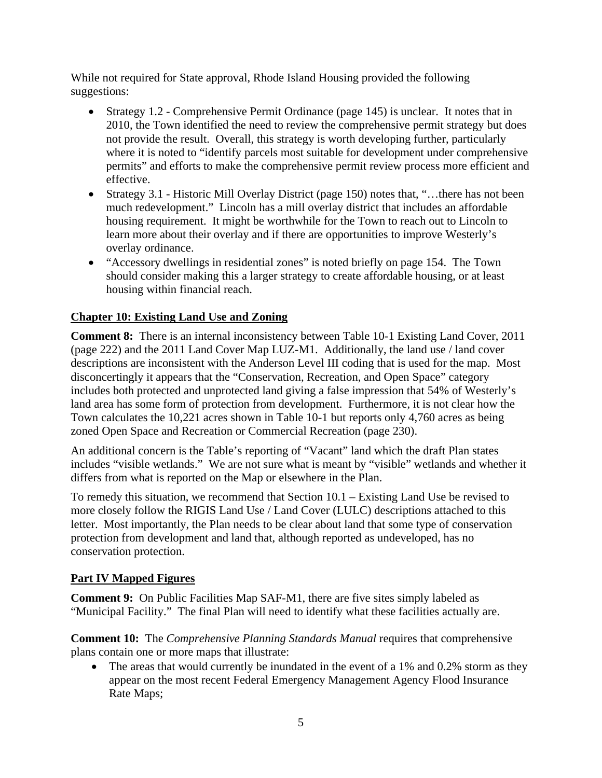While not required for State approval, Rhode Island Housing provided the following suggestions:

- Strategy 1.2 Comprehensive Permit Ordinance (page 145) is unclear. It notes that in 2010, the Town identified the need to review the comprehensive permit strategy but does not provide the result. Overall, this strategy is worth developing further, particularly where it is noted to "identify parcels most suitable for development under comprehensive permits" and efforts to make the comprehensive permit review process more efficient and effective.
- Strategy 3.1 Historic Mill Overlay District (page 150) notes that, "...there has not been much redevelopment." Lincoln has a mill overlay district that includes an affordable housing requirement. It might be worthwhile for the Town to reach out to Lincoln to learn more about their overlay and if there are opportunities to improve Westerly's overlay ordinance.
- "Accessory dwellings in residential zones" is noted briefly on page 154. The Town should consider making this a larger strategy to create affordable housing, or at least housing within financial reach.

## **Chapter 10: Existing Land Use and Zoning**

**Comment 8:** There is an internal inconsistency between Table 10-1 Existing Land Cover, 2011 (page 222) and the 2011 Land Cover Map LUZ-M1. Additionally, the land use / land cover descriptions are inconsistent with the Anderson Level III coding that is used for the map. Most disconcertingly it appears that the "Conservation, Recreation, and Open Space" category includes both protected and unprotected land giving a false impression that 54% of Westerly's land area has some form of protection from development. Furthermore, it is not clear how the Town calculates the 10,221 acres shown in Table 10-1 but reports only 4,760 acres as being zoned Open Space and Recreation or Commercial Recreation (page 230).

An additional concern is the Table's reporting of "Vacant" land which the draft Plan states includes "visible wetlands." We are not sure what is meant by "visible" wetlands and whether it differs from what is reported on the Map or elsewhere in the Plan.

To remedy this situation, we recommend that Section 10.1 – Existing Land Use be revised to more closely follow the RIGIS Land Use / Land Cover (LULC) descriptions attached to this letter. Most importantly, the Plan needs to be clear about land that some type of conservation protection from development and land that, although reported as undeveloped, has no conservation protection.

## **Part IV Mapped Figures**

**Comment 9:** On Public Facilities Map SAF-M1, there are five sites simply labeled as "Municipal Facility." The final Plan will need to identify what these facilities actually are.

**Comment 10:** The *Comprehensive Planning Standards Manual* requires that comprehensive plans contain one or more maps that illustrate:

• The areas that would currently be inundated in the event of a 1% and 0.2% storm as they appear on the most recent Federal Emergency Management Agency Flood Insurance Rate Maps;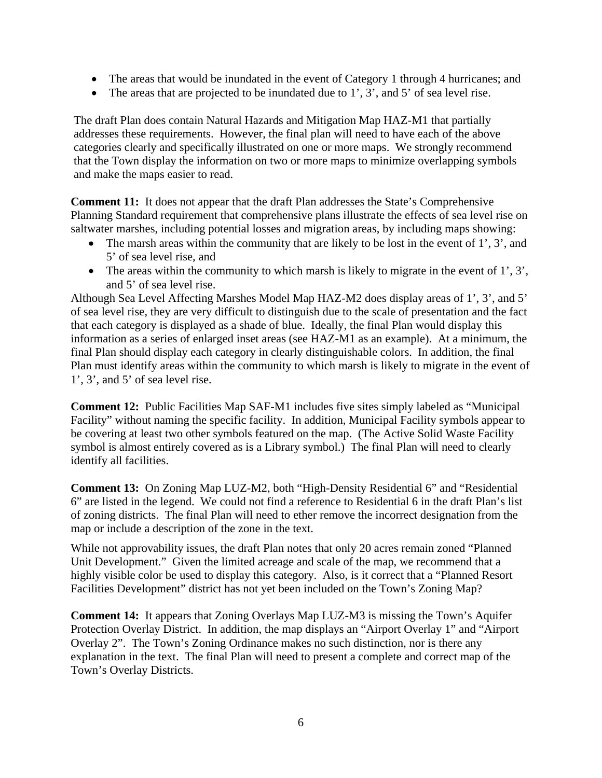- The areas that would be inundated in the event of Category 1 through 4 hurricanes; and
- The areas that are projected to be inundated due to 1', 3', and 5' of sea level rise.

The draft Plan does contain Natural Hazards and Mitigation Map HAZ-M1 that partially addresses these requirements. However, the final plan will need to have each of the above categories clearly and specifically illustrated on one or more maps. We strongly recommend that the Town display the information on two or more maps to minimize overlapping symbols and make the maps easier to read.

**Comment 11:** It does not appear that the draft Plan addresses the State's Comprehensive Planning Standard requirement that comprehensive plans illustrate the effects of sea level rise on saltwater marshes, including potential losses and migration areas, by including maps showing:

- The marsh areas within the community that are likely to be lost in the event of 1', 3', and 5' of sea level rise, and
- The areas within the community to which marsh is likely to migrate in the event of  $1', 3',$ and 5' of sea level rise.

Although Sea Level Affecting Marshes Model Map HAZ-M2 does display areas of 1', 3', and 5' of sea level rise, they are very difficult to distinguish due to the scale of presentation and the fact that each category is displayed as a shade of blue. Ideally, the final Plan would display this information as a series of enlarged inset areas (see HAZ-M1 as an example). At a minimum, the final Plan should display each category in clearly distinguishable colors. In addition, the final Plan must identify areas within the community to which marsh is likely to migrate in the event of 1', 3', and 5' of sea level rise.

**Comment 12:** Public Facilities Map SAF-M1 includes five sites simply labeled as "Municipal Facility" without naming the specific facility. In addition, Municipal Facility symbols appear to be covering at least two other symbols featured on the map. (The Active Solid Waste Facility symbol is almost entirely covered as is a Library symbol.) The final Plan will need to clearly identify all facilities.

**Comment 13:** On Zoning Map LUZ-M2, both "High-Density Residential 6" and "Residential 6" are listed in the legend. We could not find a reference to Residential 6 in the draft Plan's list of zoning districts. The final Plan will need to ether remove the incorrect designation from the map or include a description of the zone in the text.

While not approvability issues, the draft Plan notes that only 20 acres remain zoned "Planned Unit Development." Given the limited acreage and scale of the map, we recommend that a highly visible color be used to display this category. Also, is it correct that a "Planned Resort Facilities Development" district has not yet been included on the Town's Zoning Map?

**Comment 14:** It appears that Zoning Overlays Map LUZ-M3 is missing the Town's Aquifer Protection Overlay District. In addition, the map displays an "Airport Overlay 1" and "Airport Overlay 2". The Town's Zoning Ordinance makes no such distinction, nor is there any explanation in the text. The final Plan will need to present a complete and correct map of the Town's Overlay Districts.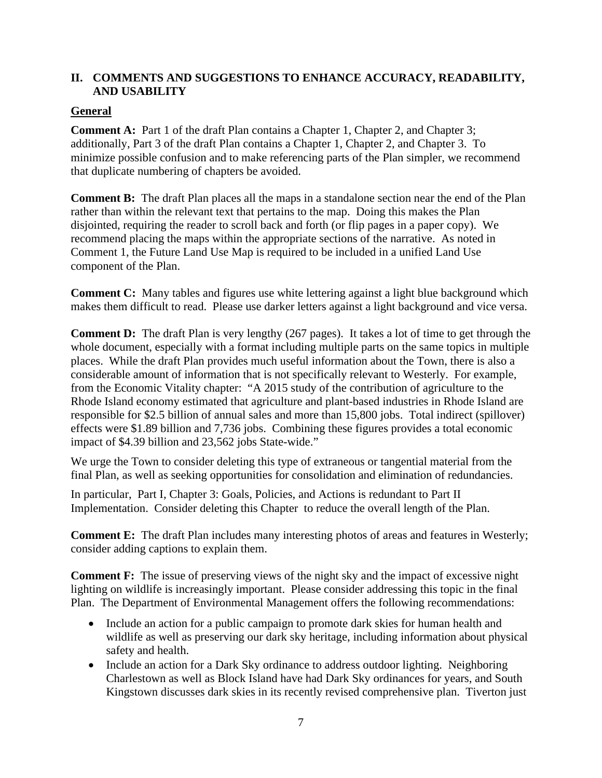## **II. COMMENTS AND SUGGESTIONS TO ENHANCE ACCURACY, READABILITY, AND USABILITY**

## **General**

**Comment A:** Part 1 of the draft Plan contains a Chapter 1, Chapter 2, and Chapter 3; additionally, Part 3 of the draft Plan contains a Chapter 1, Chapter 2, and Chapter 3. To minimize possible confusion and to make referencing parts of the Plan simpler, we recommend that duplicate numbering of chapters be avoided.

**Comment B:** The draft Plan places all the maps in a standalone section near the end of the Plan rather than within the relevant text that pertains to the map. Doing this makes the Plan disjointed, requiring the reader to scroll back and forth (or flip pages in a paper copy). We recommend placing the maps within the appropriate sections of the narrative. As noted in Comment 1, the Future Land Use Map is required to be included in a unified Land Use component of the Plan.

**Comment C:** Many tables and figures use white lettering against a light blue background which makes them difficult to read. Please use darker letters against a light background and vice versa.

**Comment D:** The draft Plan is very lengthy (267 pages). It takes a lot of time to get through the whole document, especially with a format including multiple parts on the same topics in multiple places. While the draft Plan provides much useful information about the Town, there is also a considerable amount of information that is not specifically relevant to Westerly. For example, from the Economic Vitality chapter: "A 2015 study of the contribution of agriculture to the Rhode Island economy estimated that agriculture and plant-based industries in Rhode Island are responsible for \$2.5 billion of annual sales and more than 15,800 jobs. Total indirect (spillover) effects were \$1.89 billion and 7,736 jobs. Combining these figures provides a total economic impact of \$4.39 billion and 23,562 jobs State-wide."

We urge the Town to consider deleting this type of extraneous or tangential material from the final Plan, as well as seeking opportunities for consolidation and elimination of redundancies.

In particular, Part I, Chapter 3: Goals, Policies, and Actions is redundant to Part II Implementation. Consider deleting this Chapter to reduce the overall length of the Plan.

**Comment E:** The draft Plan includes many interesting photos of areas and features in Westerly; consider adding captions to explain them.

**Comment F:** The issue of preserving views of the night sky and the impact of excessive night lighting on wildlife is increasingly important. Please consider addressing this topic in the final Plan. The Department of Environmental Management offers the following recommendations:

- Include an action for a public campaign to promote dark skies for human health and wildlife as well as preserving our dark sky heritage, including information about physical safety and health.
- Include an action for a Dark Sky ordinance to address outdoor lighting. Neighboring Charlestown as well as Block Island have had Dark Sky ordinances for years, and South Kingstown discusses dark skies in its recently revised comprehensive plan. Tiverton just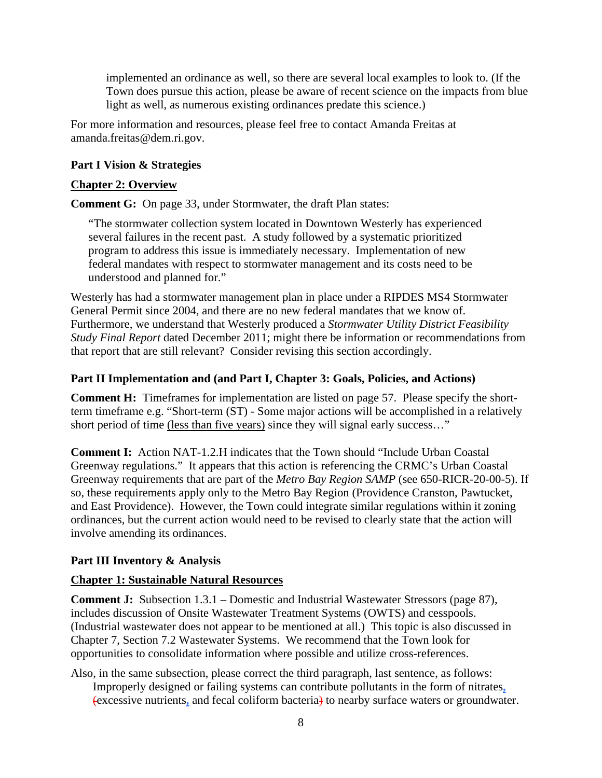implemented an ordinance as well, so there are several local examples to look to. (If the Town does pursue this action, please be aware of recent science on the impacts from blue light as well, as numerous existing ordinances predate this science.)

For more information and resources, please feel free to contact Amanda Freitas at amanda.freitas@dem.ri.gov.

### **Part I Vision & Strategies**

#### **Chapter 2: Overview**

**Comment G:** On page 33, under Stormwater, the draft Plan states:

"The stormwater collection system located in Downtown Westerly has experienced several failures in the recent past. A study followed by a systematic prioritized program to address this issue is immediately necessary. Implementation of new federal mandates with respect to stormwater management and its costs need to be understood and planned for."

Westerly has had a stormwater management plan in place under a RIPDES MS4 Stormwater General Permit since 2004, and there are no new federal mandates that we know of. Furthermore, we understand that Westerly produced a *Stormwater Utility District Feasibility Study Final Report* dated December 2011; might there be information or recommendations from that report that are still relevant? Consider revising this section accordingly.

#### **Part II Implementation and (and Part I, Chapter 3: Goals, Policies, and Actions)**

**Comment H:** Timeframes for implementation are listed on page 57. Please specify the shortterm timeframe e.g. "Short-term (ST) - Some major actions will be accomplished in a relatively short period of time (less than five years) since they will signal early success…"

**Comment I:** Action NAT-1.2.H indicates that the Town should "Include Urban Coastal Greenway regulations." It appears that this action is referencing the CRMC's Urban Coastal Greenway requirements that are part of the *Metro Bay Region SAMP* (see 650-RICR-20-00-5). If so, these requirements apply only to the Metro Bay Region (Providence Cranston, Pawtucket, and East Providence). However, the Town could integrate similar regulations within it zoning ordinances, but the current action would need to be revised to clearly state that the action will involve amending its ordinances.

## **Part III Inventory & Analysis**

#### **Chapter 1: Sustainable Natural Resources**

**Comment J:** Subsection 1.3.1 – Domestic and Industrial Wastewater Stressors (page 87), includes discussion of Onsite Wastewater Treatment Systems (OWTS) and cesspools. (Industrial wastewater does not appear to be mentioned at all.) This topic is also discussed in Chapter 7, Section 7.2 Wastewater Systems. We recommend that the Town look for opportunities to consolidate information where possible and utilize cross-references.

Also, in the same subsection, please correct the third paragraph, last sentence, as follows: Improperly designed or failing systems can contribute pollutants in the form of nitrates**,** (excessive nutrients**,** and fecal coliform bacteria) to nearby surface waters or groundwater.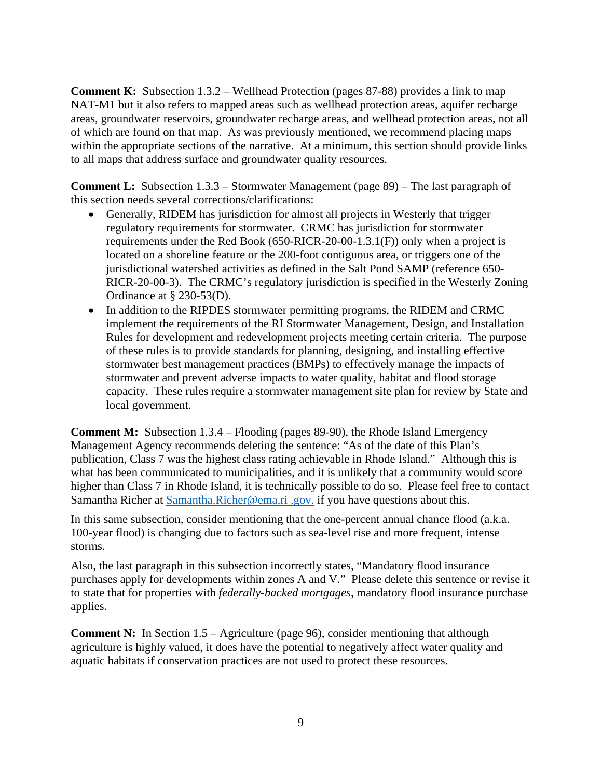**Comment K:** Subsection 1.3.2 – Wellhead Protection (pages 87-88) provides a link to map NAT-M1 but it also refers to mapped areas such as wellhead protection areas, aquifer recharge areas, groundwater reservoirs, groundwater recharge areas, and wellhead protection areas, not all of which are found on that map. As was previously mentioned, we recommend placing maps within the appropriate sections of the narrative. At a minimum, this section should provide links to all maps that address surface and groundwater quality resources.

**Comment L:** Subsection 1.3.3 – Stormwater Management (page 89) – The last paragraph of this section needs several corrections/clarifications:

- Generally, RIDEM has jurisdiction for almost all projects in Westerly that trigger regulatory requirements for stormwater. CRMC has jurisdiction for stormwater requirements under the Red Book (650-RICR-20-00-1.3.1(F)) only when a project is located on a shoreline feature or the 200-foot contiguous area, or triggers one of the jurisdictional watershed activities as defined in the Salt Pond SAMP (reference 650- RICR-20-00-3). The CRMC's regulatory jurisdiction is specified in the Westerly Zoning Ordinance at § 230-53(D).
- In addition to the RIPDES stormwater permitting programs, the RIDEM and CRMC implement the requirements of the RI Stormwater Management, Design, and Installation Rules for development and redevelopment projects meeting certain criteria. The purpose of these rules is to provide standards for planning, designing, and installing effective stormwater best management practices (BMPs) to effectively manage the impacts of stormwater and prevent adverse impacts to water quality, habitat and flood storage capacity. These rules require a stormwater management site plan for review by State and local government.

**Comment M:** Subsection 1.3.4 – Flooding (pages 89-90), the Rhode Island Emergency Management Agency recommends deleting the sentence: "As of the date of this Plan's publication, Class 7 was the highest class rating achievable in Rhode Island." Although this is what has been communicated to municipalities, and it is unlikely that a community would score higher than Class 7 in Rhode Island, it is technically possible to do so. Please feel free to contact Samantha Richer at [Samantha.Richer@ema.ri .gov.](mailto:Samantha.Richer@ema.ri.gov) if you have questions about this.

In this same subsection, consider mentioning that the one-percent annual chance flood (a.k.a. 100-year flood) is changing due to factors such as sea-level rise and more frequent, intense storms.

Also, the last paragraph in this subsection incorrectly states, "Mandatory flood insurance purchases apply for developments within zones A and V." Please delete this sentence or revise it to state that for properties with *federally-backed mortgages*, mandatory flood insurance purchase applies.

**Comment N:** In Section 1.5 – Agriculture (page 96), consider mentioning that although agriculture is highly valued, it does have the potential to negatively affect water quality and aquatic habitats if conservation practices are not used to protect these resources.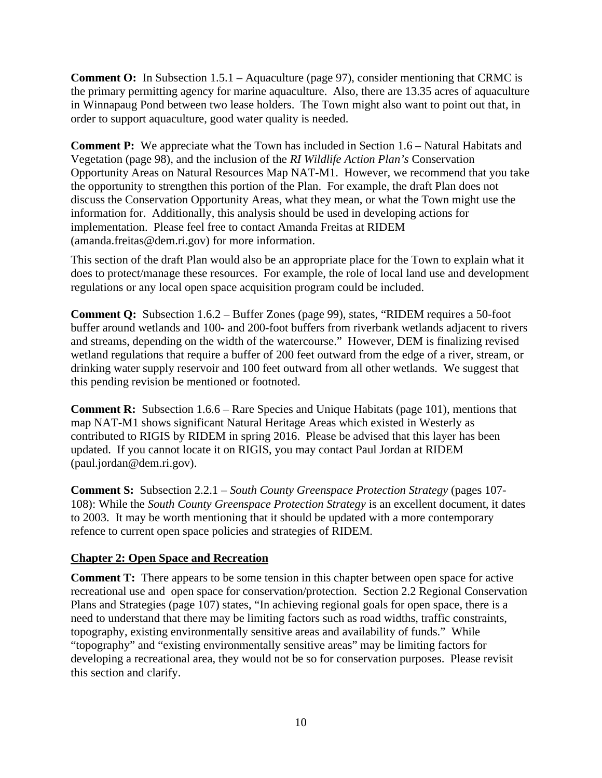**Comment O:** In Subsection 1.5.1 – Aquaculture (page 97), consider mentioning that CRMC is the primary permitting agency for marine aquaculture. Also, there are 13.35 acres of aquaculture in Winnapaug Pond between two lease holders. The Town might also want to point out that, in order to support aquaculture, good water quality is needed.

**Comment P:** We appreciate what the Town has included in Section 1.6 – Natural Habitats and Vegetation (page 98), and the inclusion of the *RI Wildlife Action Plan's* Conservation Opportunity Areas on Natural Resources Map NAT-M1. However, we recommend that you take the opportunity to strengthen this portion of the Plan. For example, the draft Plan does not discuss the Conservation Opportunity Areas, what they mean, or what the Town might use the information for. Additionally, this analysis should be used in developing actions for implementation. Please feel free to contact Amanda Freitas at RIDEM (amanda.freitas@dem.ri.gov) for more information.

This section of the draft Plan would also be an appropriate place for the Town to explain what it does to protect/manage these resources. For example, the role of local land use and development regulations or any local open space acquisition program could be included.

**Comment Q:** Subsection 1.6.2 – Buffer Zones (page 99), states, "RIDEM requires a 50-foot buffer around wetlands and 100- and 200-foot buffers from riverbank wetlands adjacent to rivers and streams, depending on the width of the watercourse." However, DEM is finalizing revised wetland regulations that require a buffer of 200 feet outward from the edge of a river, stream, or drinking water supply reservoir and 100 feet outward from all other wetlands. We suggest that this pending revision be mentioned or footnoted.

**Comment R:** Subsection 1.6.6 – Rare Species and Unique Habitats (page 101), mentions that map NAT-M1 shows significant Natural Heritage Areas which existed in Westerly as contributed to RIGIS by RIDEM in spring 2016. Please be advised that this layer has been updated. If you cannot locate it on RIGIS, you may contact Paul Jordan at RIDEM (paul.jordan@dem.ri.gov).

**Comment S:** Subsection 2.2.1 – *South County Greenspace Protection Strategy* (pages 107- 108): While the *South County Greenspace Protection Strategy* is an excellent document, it dates to 2003. It may be worth mentioning that it should be updated with a more contemporary refence to current open space policies and strategies of RIDEM.

## **Chapter 2: Open Space and Recreation**

**Comment T:** There appears to be some tension in this chapter between open space for active recreational use and open space for conservation/protection. Section 2.2 Regional Conservation Plans and Strategies (page 107) states, "In achieving regional goals for open space, there is a need to understand that there may be limiting factors such as road widths, traffic constraints, topography, existing environmentally sensitive areas and availability of funds." While "topography" and "existing environmentally sensitive areas" may be limiting factors for developing a recreational area, they would not be so for conservation purposes. Please revisit this section and clarify.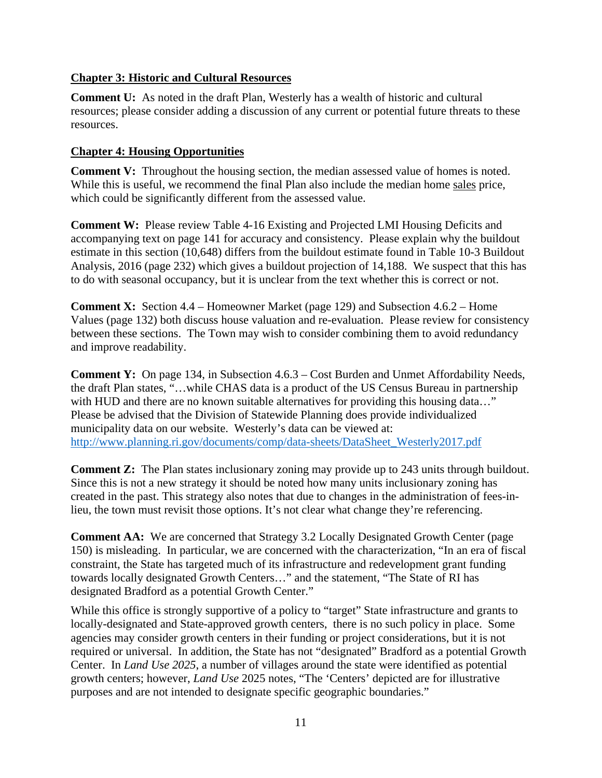## **Chapter 3: Historic and Cultural Resources**

**Comment U:** As noted in the draft Plan, Westerly has a wealth of historic and cultural resources; please consider adding a discussion of any current or potential future threats to these resources.

## **Chapter 4: Housing Opportunities**

**Comment V:** Throughout the housing section, the median assessed value of homes is noted. While this is useful, we recommend the final Plan also include the median home sales price, which could be significantly different from the assessed value.

**Comment W:** Please review Table 4-16 Existing and Projected LMI Housing Deficits and accompanying text on page 141 for accuracy and consistency. Please explain why the buildout estimate in this section (10,648) differs from the buildout estimate found in Table 10-3 Buildout Analysis, 2016 (page 232) which gives a buildout projection of 14,188. We suspect that this has to do with seasonal occupancy, but it is unclear from the text whether this is correct or not.

**Comment X:** Section 4.4 – Homeowner Market (page 129) and Subsection 4.6.2 – Home Values (page 132) both discuss house valuation and re-evaluation. Please review for consistency between these sections. The Town may wish to consider combining them to avoid redundancy and improve readability.

**Comment Y:** On page 134, in Subsection 4.6.3 – Cost Burden and Unmet Affordability Needs, the draft Plan states, "…while CHAS data is a product of the US Census Bureau in partnership with HUD and there are no known suitable alternatives for providing this housing data..." Please be advised that the Division of Statewide Planning does provide individualized municipality data on our website. Westerly's data can be viewed at: [http://www.planning.ri.gov/documents/comp/data-sheets/DataSheet\\_Westerly2017.pdf](http://www.planning.ri.gov/documents/comp/data-sheets/DataSheet_Westerly2017.pdf)

**Comment Z:** The Plan states inclusionary zoning may provide up to 243 units through buildout. Since this is not a new strategy it should be noted how many units inclusionary zoning has created in the past. This strategy also notes that due to changes in the administration of fees-inlieu, the town must revisit those options. It's not clear what change they're referencing.

**Comment AA:** We are concerned that Strategy 3.2 Locally Designated Growth Center (page 150) is misleading. In particular, we are concerned with the characterization, "In an era of fiscal constraint, the State has targeted much of its infrastructure and redevelopment grant funding towards locally designated Growth Centers…" and the statement, "The State of RI has designated Bradford as a potential Growth Center."

While this office is strongly supportive of a policy to "target" State infrastructure and grants to locally-designated and State-approved growth centers, there is no such policy in place. Some agencies may consider growth centers in their funding or project considerations, but it is not required or universal. In addition, the State has not "designated" Bradford as a potential Growth Center. In *Land Use 2025*, a number of villages around the state were identified as potential growth centers; however, *Land Use* 2025 notes, "The 'Centers' depicted are for illustrative purposes and are not intended to designate specific geographic boundaries."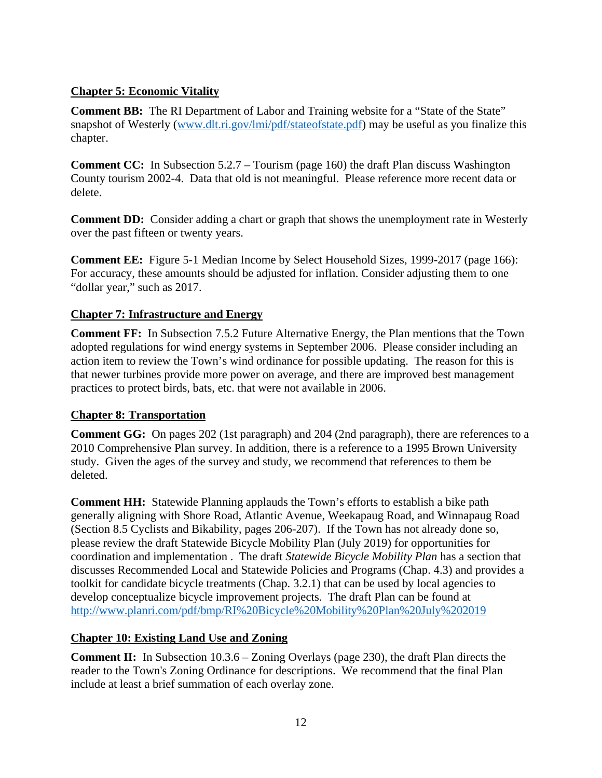## **Chapter 5: Economic Vitality**

**Comment BB:** The RI Department of Labor and Training website for a "State of the State" snapshot of Westerly [\(www.dlt.ri.gov/lmi/pdf/stateofstate.pdf\)](http://www.dlt.ri.gov/lmi/pdf/stateofstate.pdf) may be useful as you finalize this chapter.

**Comment CC:** In Subsection 5.2.7 – Tourism (page 160) the draft Plan discuss Washington County tourism 2002-4. Data that old is not meaningful. Please reference more recent data or delete.

**Comment DD:** Consider adding a chart or graph that shows the unemployment rate in Westerly over the past fifteen or twenty years.

**Comment EE:** Figure 5-1 Median Income by Select Household Sizes, 1999-2017 (page 166): For accuracy, these amounts should be adjusted for inflation. Consider adjusting them to one "dollar year," such as 2017.

## **Chapter 7: Infrastructure and Energy**

**Comment FF:** In Subsection 7.5.2 Future Alternative Energy, the Plan mentions that the Town adopted regulations for wind energy systems in September 2006. Please consider including an action item to review the Town's wind ordinance for possible updating. The reason for this is that newer turbines provide more power on average, and there are improved best management practices to protect birds, bats, etc. that were not available in 2006.

## **Chapter 8: Transportation**

**Comment GG:** On pages 202 (1st paragraph) and 204 (2nd paragraph), there are references to a 2010 Comprehensive Plan survey. In addition, there is a reference to a 1995 Brown University study. Given the ages of the survey and study, we recommend that references to them be deleted.

**Comment HH:** Statewide Planning applauds the Town's efforts to establish a bike path generally aligning with Shore Road, Atlantic Avenue, Weekapaug Road, and Winnapaug Road (Section 8.5 Cyclists and Bikability, pages 206-207). If the Town has not already done so, please review the draft Statewide Bicycle Mobility Plan (July 2019) for opportunities for coordination and implementation . The draft *Statewide Bicycle Mobility Plan* has a section that discusses Recommended Local and Statewide Policies and Programs (Chap. 4.3) and provides a toolkit for candidate bicycle treatments (Chap. 3.2.1) that can be used by local agencies to develop conceptualize bicycle improvement projects. The draft Plan can be found at <http://www.planri.com/pdf/bmp/RI%20Bicycle%20Mobility%20Plan%20July%202019>

## **Chapter 10: Existing Land Use and Zoning**

**Comment II:** In Subsection 10.3.6 – Zoning Overlays (page 230), the draft Plan directs the reader to the Town's Zoning Ordinance for descriptions. We recommend that the final Plan include at least a brief summation of each overlay zone.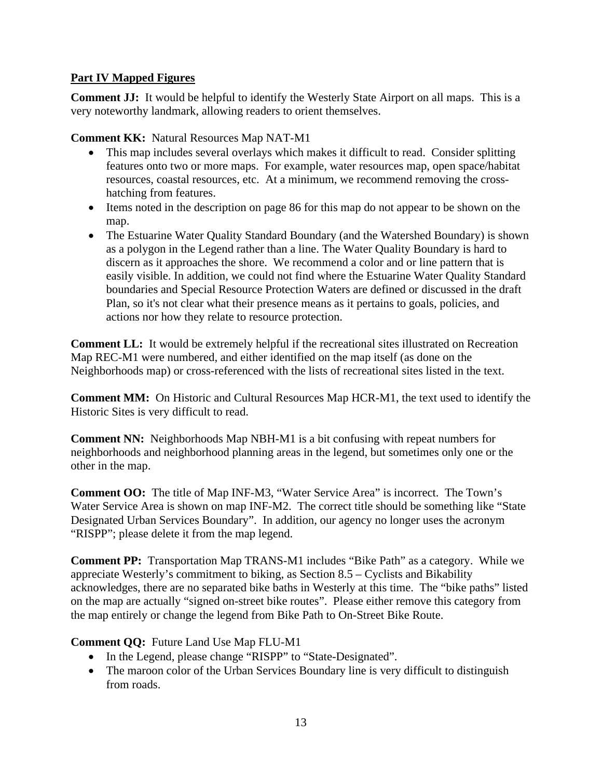## **Part IV Mapped Figures**

**Comment JJ:** It would be helpful to identify the Westerly State Airport on all maps. This is a very noteworthy landmark, allowing readers to orient themselves.

**Comment KK:** Natural Resources Map NAT-M1

- This map includes several overlays which makes it difficult to read. Consider splitting features onto two or more maps. For example, water resources map, open space/habitat resources, coastal resources, etc. At a minimum, we recommend removing the crosshatching from features.
- Items noted in the description on page 86 for this map do not appear to be shown on the map.
- The Estuarine Water Quality Standard Boundary (and the Watershed Boundary) is shown as a polygon in the Legend rather than a line. The Water Quality Boundary is hard to discern as it approaches the shore. We recommend a color and or line pattern that is easily visible. In addition, we could not find where the Estuarine Water Quality Standard boundaries and Special Resource Protection Waters are defined or discussed in the draft Plan, so it's not clear what their presence means as it pertains to goals, policies, and actions nor how they relate to resource protection.

**Comment LL:** It would be extremely helpful if the recreational sites illustrated on Recreation Map REC-M1 were numbered, and either identified on the map itself (as done on the Neighborhoods map) or cross-referenced with the lists of recreational sites listed in the text.

**Comment MM:** On Historic and Cultural Resources Map HCR-M1, the text used to identify the Historic Sites is very difficult to read.

**Comment NN:** Neighborhoods Map NBH-M1 is a bit confusing with repeat numbers for neighborhoods and neighborhood planning areas in the legend, but sometimes only one or the other in the map.

**Comment OO:** The title of Map INF-M3, "Water Service Area" is incorrect. The Town's Water Service Area is shown on map INF-M2. The correct title should be something like "State Designated Urban Services Boundary". In addition, our agency no longer uses the acronym "RISPP"; please delete it from the map legend.

**Comment PP:** Transportation Map TRANS-M1 includes "Bike Path" as a category. While we appreciate Westerly's commitment to biking, as Section 8.5 – Cyclists and Bikability acknowledges, there are no separated bike baths in Westerly at this time. The "bike paths" listed on the map are actually "signed on-street bike routes". Please either remove this category from the map entirely or change the legend from Bike Path to On-Street Bike Route.

## **Comment QQ:** Future Land Use Map FLU-M1

- In the Legend, please change "RISPP" to "State-Designated".
- The maroon color of the Urban Services Boundary line is very difficult to distinguish from roads.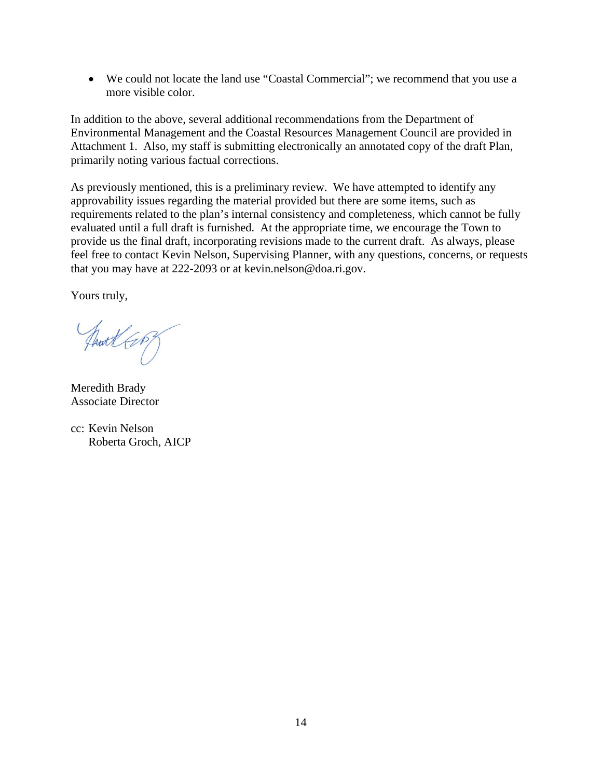• We could not locate the land use "Coastal Commercial"; we recommend that you use a more visible color.

In addition to the above, several additional recommendations from the Department of Environmental Management and the Coastal Resources Management Council are provided in Attachment 1. Also, my staff is submitting electronically an annotated copy of the draft Plan, primarily noting various factual corrections.

As previously mentioned, this is a preliminary review. We have attempted to identify any approvability issues regarding the material provided but there are some items, such as requirements related to the plan's internal consistency and completeness, which cannot be fully evaluated until a full draft is furnished. At the appropriate time, we encourage the Town to provide us the final draft, incorporating revisions made to the current draft. As always, please feel free to contact Kevin Nelson, Supervising Planner, with any questions, concerns, or requests that you may have at 222-2093 or at kevin.nelson@doa.ri.gov.

Yours truly,

Just Cop

Meredith Brady Associate Director

cc: Kevin Nelson Roberta Groch, AICP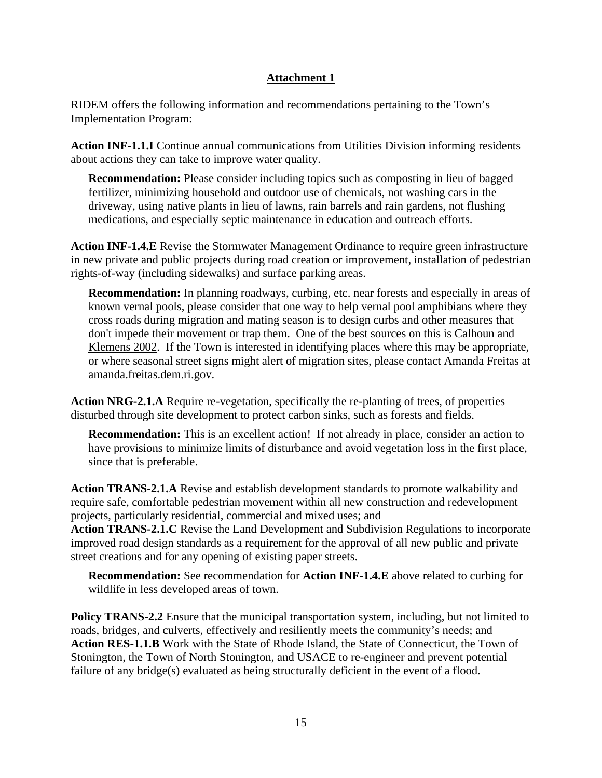## **Attachment 1**

RIDEM offers the following information and recommendations pertaining to the Town's Implementation Program:

**Action INF-1.1.I** Continue annual communications from Utilities Division informing residents about actions they can take to improve water quality.

**Recommendation:** Please consider including topics such as composting in lieu of bagged fertilizer, minimizing household and outdoor use of chemicals, not washing cars in the driveway, using native plants in lieu of lawns, rain barrels and rain gardens, not flushing medications, and especially septic maintenance in education and outreach efforts.

**Action INF-1.4.E** Revise the Stormwater Management Ordinance to require green infrastructure in new private and public projects during road creation or improvement, installation of pedestrian rights-of-way (including sidewalks) and surface parking areas.

**Recommendation:** In planning roadways, curbing, etc. near forests and especially in areas of known vernal pools, please consider that one way to help vernal pool amphibians where they cross roads during migration and mating season is to design curbs and other measures that don't impede their movement or trap them. One of the best sources on this is [Calhoun and](http://www.nae.usace.army.mil/Portals/74/docs/regulatory/VernalPools/BestDevelopmentPractices20Oct2014.pdf)  [Klemens 2002.](http://www.nae.usace.army.mil/Portals/74/docs/regulatory/VernalPools/BestDevelopmentPractices20Oct2014.pdf) If the Town is interested in identifying places where this may be appropriate, or where seasonal street signs might alert of migration sites, please contact Amanda Freitas at amanda.freitas.dem.ri.gov.

**Action NRG-2.1.A** Require re-vegetation, specifically the re-planting of trees, of properties disturbed through site development to protect carbon sinks, such as forests and fields.

**Recommendation:** This is an excellent action! If not already in place, consider an action to have provisions to minimize limits of disturbance and avoid vegetation loss in the first place, since that is preferable.

**Action TRANS-2.1.A** Revise and establish development standards to promote walkability and require safe, comfortable pedestrian movement within all new construction and redevelopment projects, particularly residential, commercial and mixed uses; and

**Action TRANS-2.1.C** Revise the Land Development and Subdivision Regulations to incorporate improved road design standards as a requirement for the approval of all new public and private street creations and for any opening of existing paper streets.

**Recommendation:** See recommendation for **Action INF-1.4.E** above related to curbing for wildlife in less developed areas of town.

**Policy TRANS-2.2** Ensure that the municipal transportation system, including, but not limited to roads, bridges, and culverts, effectively and resiliently meets the community's needs; and Action RES-1.1.B Work with the State of Rhode Island, the State of Connecticut, the Town of Stonington, the Town of North Stonington, and USACE to re-engineer and prevent potential failure of any bridge(s) evaluated as being structurally deficient in the event of a flood.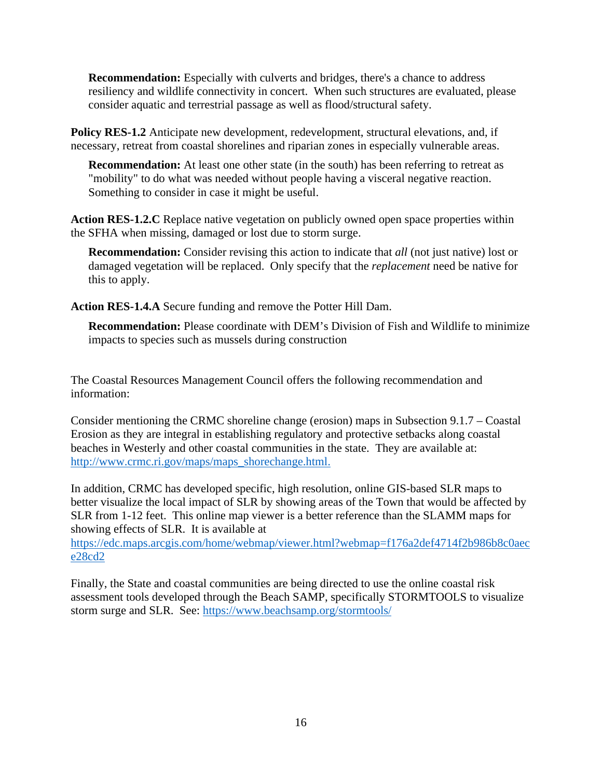**Recommendation:** Especially with culverts and bridges, there's a chance to address resiliency and wildlife connectivity in concert. When such structures are evaluated, please consider aquatic and terrestrial passage as well as flood/structural safety.

**Policy RES-1.2** Anticipate new development, redevelopment, structural elevations, and, if necessary, retreat from coastal shorelines and riparian zones in especially vulnerable areas.

**Recommendation:** At least one other state (in the south) has been referring to retreat as "mobility" to do what was needed without people having a visceral negative reaction. Something to consider in case it might be useful.

**Action RES-1.2.C** Replace native vegetation on publicly owned open space properties within the SFHA when missing, damaged or lost due to storm surge.

**Recommendation:** Consider revising this action to indicate that *all* (not just native) lost or damaged vegetation will be replaced. Only specify that the *replacement* need be native for this to apply.

**Action RES-1.4.A** Secure funding and remove the Potter Hill Dam.

**Recommendation:** Please coordinate with DEM's Division of Fish and Wildlife to minimize impacts to species such as mussels during construction

The Coastal Resources Management Council offers the following recommendation and information:

Consider mentioning the CRMC shoreline change (erosion) maps in Subsection 9.1.7 – Coastal Erosion as they are integral in establishing regulatory and protective setbacks along coastal beaches in Westerly and other coastal communities in the state. They are available at: [http://www.crmc.ri.gov/maps/maps\\_shorechange.html.](http://www.crmc.ri.gov/maps/maps_shorechange.html.) 

In addition, CRMC has developed specific, high resolution, online GIS-based SLR maps to better visualize the local impact of SLR by showing areas of the Town that would be affected by SLR from 1-12 feet. This online map viewer is a better reference than the SLAMM maps for showing effects of SLR. It is available at

[https://edc.maps.arcgis.com/home/webmap/viewer.html?webmap=f176a2def4714f2b986b8c0aec](https://edc.maps.arcgis.com/home/webmap/viewer.html?webmap=f176a2def4714f2b986b8c0aece28cd2) [e28cd2](https://edc.maps.arcgis.com/home/webmap/viewer.html?webmap=f176a2def4714f2b986b8c0aece28cd2)

Finally, the State and coastal communities are being directed to use the online coastal risk assessment tools developed through the Beach SAMP, specifically STORMTOOLS to visualize storm surge and SLR. See:<https://www.beachsamp.org/stormtools/>